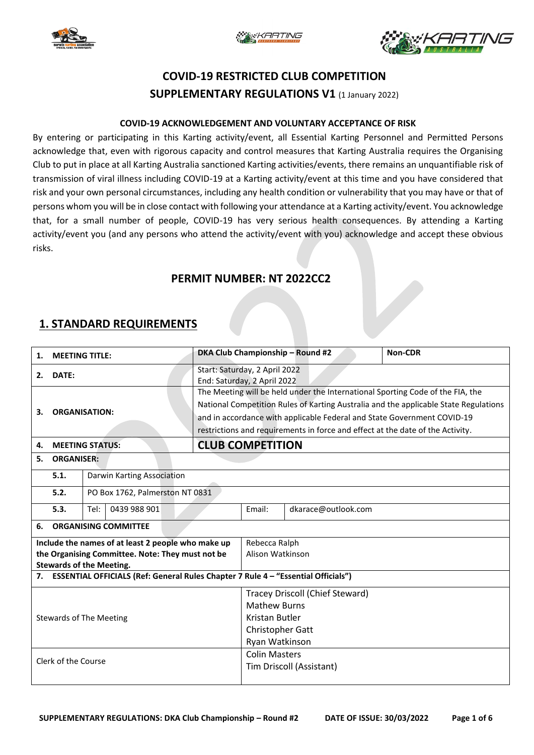





# **COVID-19 RESTRICTED CLUB COMPETITION SUPPLEMENTARY REGULATIONS V1** (1 January 2022)

#### **COVID-19 ACKNOWLEDGEMENT AND VOLUNTARY ACCEPTANCE OF RISK**

By entering or participating in this Karting activity/event, all Essential Karting Personnel and Permitted Persons acknowledge that, even with rigorous capacity and control measures that Karting Australia requires the Organising Club to put in place at all Karting Australia sanctioned Karting activities/events, there remains an unquantifiable risk of transmission of viral illness including COVID-19 at a Karting activity/event at this time and you have considered that risk and your own personal circumstances, including any health condition or vulnerability that you may have or that of persons whom you will be in close contact with following your attendance at a Karting activity/event. You acknowledge that, for a small number of people, COVID-19 has very serious health consequences. By attending a Karting activity/event you (and any persons who attend the activity/event with you) acknowledge and accept these obvious risks.

### **PERMIT NUMBER: NT 2022CC2**

### **1. STANDARD REQUIREMENTS**

| <b>MEETING TITLE:</b><br>1.                                                          |                             |                                 |  |                                                                                | DKA Club Championship - Round #2                                                     | Non-CDR                 |                                 |  |  |  |
|--------------------------------------------------------------------------------------|-----------------------------|---------------------------------|--|--------------------------------------------------------------------------------|--------------------------------------------------------------------------------------|-------------------------|---------------------------------|--|--|--|
| DATE:<br>2.                                                                          |                             |                                 |  |                                                                                | Start: Saturday, 2 April 2022<br>End: Saturday, 2 April 2022                         |                         |                                 |  |  |  |
|                                                                                      |                             |                                 |  |                                                                                | The Meeting will be held under the International Sporting Code of the FIA, the       |                         |                                 |  |  |  |
|                                                                                      | <b>ORGANISATION:</b><br>3.  |                                 |  |                                                                                | National Competition Rules of Karting Australia and the applicable State Regulations |                         |                                 |  |  |  |
|                                                                                      |                             |                                 |  |                                                                                | and in accordance with applicable Federal and State Government COVID-19              |                         |                                 |  |  |  |
|                                                                                      |                             |                                 |  |                                                                                |                                                                                      |                         |                                 |  |  |  |
|                                                                                      |                             |                                 |  | restrictions and requirements in force and effect at the date of the Activity. |                                                                                      |                         |                                 |  |  |  |
| 4.                                                                                   | <b>MEETING STATUS:</b>      |                                 |  |                                                                                |                                                                                      | <b>CLUB COMPETITION</b> |                                 |  |  |  |
| <b>ORGANISER:</b><br>5.                                                              |                             |                                 |  |                                                                                |                                                                                      |                         |                                 |  |  |  |
|                                                                                      | 5.1.                        | Darwin Karting Association      |  |                                                                                |                                                                                      |                         |                                 |  |  |  |
|                                                                                      | 5.2.                        | PO Box 1762, Palmerston NT 0831 |  |                                                                                |                                                                                      |                         |                                 |  |  |  |
|                                                                                      | 5.3.                        | 0439 988 901<br>Tel:            |  |                                                                                | Email:                                                                               | dkarace@outlook.com     |                                 |  |  |  |
| 6.                                                                                   | <b>ORGANISING COMMITTEE</b> |                                 |  |                                                                                |                                                                                      |                         |                                 |  |  |  |
| Include the names of at least 2 people who make up                                   |                             |                                 |  |                                                                                |                                                                                      | Rebecca Ralph           |                                 |  |  |  |
| the Organising Committee. Note: They must not be                                     |                             |                                 |  |                                                                                |                                                                                      | Alison Watkinson        |                                 |  |  |  |
| <b>Stewards of the Meeting.</b>                                                      |                             |                                 |  |                                                                                |                                                                                      |                         |                                 |  |  |  |
| 7. ESSENTIAL OFFICIALS (Ref: General Rules Chapter 7 Rule 4 - "Essential Officials") |                             |                                 |  |                                                                                |                                                                                      |                         |                                 |  |  |  |
|                                                                                      |                             |                                 |  |                                                                                |                                                                                      |                         | Tracey Driscoll (Chief Steward) |  |  |  |
|                                                                                      |                             |                                 |  |                                                                                |                                                                                      | <b>Mathew Burns</b>     |                                 |  |  |  |
| <b>Stewards of The Meeting</b>                                                       |                             |                                 |  |                                                                                | Kristan Butler                                                                       |                         |                                 |  |  |  |
|                                                                                      |                             |                                 |  |                                                                                | Christopher Gatt                                                                     |                         |                                 |  |  |  |
|                                                                                      |                             |                                 |  |                                                                                |                                                                                      | Ryan Watkinson          |                                 |  |  |  |
|                                                                                      |                             |                                 |  |                                                                                |                                                                                      | <b>Colin Masters</b>    |                                 |  |  |  |
| Clerk of the Course                                                                  |                             |                                 |  |                                                                                | Tim Driscoll (Assistant)                                                             |                         |                                 |  |  |  |
|                                                                                      |                             |                                 |  |                                                                                |                                                                                      |                         |                                 |  |  |  |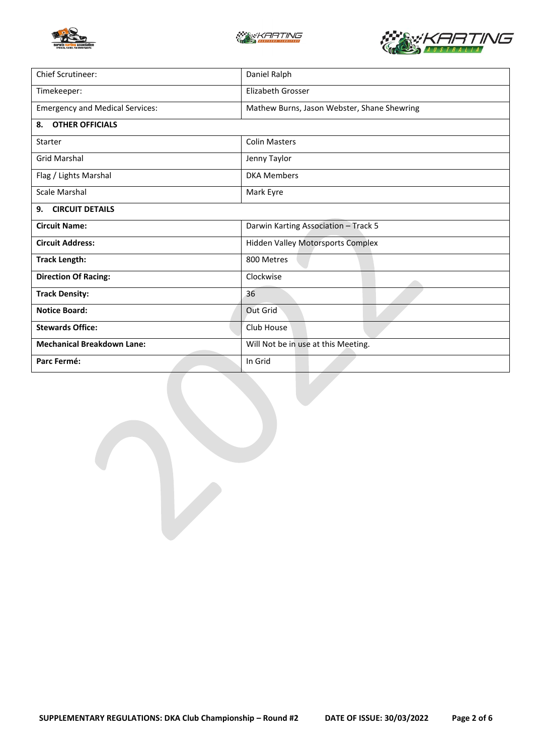





| Chief Scrutineer:                      | Daniel Ralph                                |  |  |
|----------------------------------------|---------------------------------------------|--|--|
| Timekeeper:                            | <b>Elizabeth Grosser</b>                    |  |  |
| <b>Emergency and Medical Services:</b> | Mathew Burns, Jason Webster, Shane Shewring |  |  |
| <b>OTHER OFFICIALS</b><br>8.           |                                             |  |  |
| Starter                                | <b>Colin Masters</b>                        |  |  |
| <b>Grid Marshal</b>                    | Jenny Taylor                                |  |  |
| Flag / Lights Marshal                  | <b>DKA Members</b>                          |  |  |
| Scale Marshal                          | Mark Eyre                                   |  |  |
| <b>CIRCUIT DETAILS</b><br>9.           |                                             |  |  |
| <b>Circuit Name:</b>                   | Darwin Karting Association - Track 5        |  |  |
| <b>Circuit Address:</b>                | <b>Hidden Valley Motorsports Complex</b>    |  |  |
| <b>Track Length:</b>                   | 800 Metres                                  |  |  |
| <b>Direction Of Racing:</b>            | Clockwise                                   |  |  |
| <b>Track Density:</b>                  | 36                                          |  |  |
| <b>Notice Board:</b>                   | Out Grid                                    |  |  |
| <b>Stewards Office:</b>                | Club House                                  |  |  |
| <b>Mechanical Breakdown Lane:</b>      | Will Not be in use at this Meeting.         |  |  |
| Parc Fermé:                            | In Grid                                     |  |  |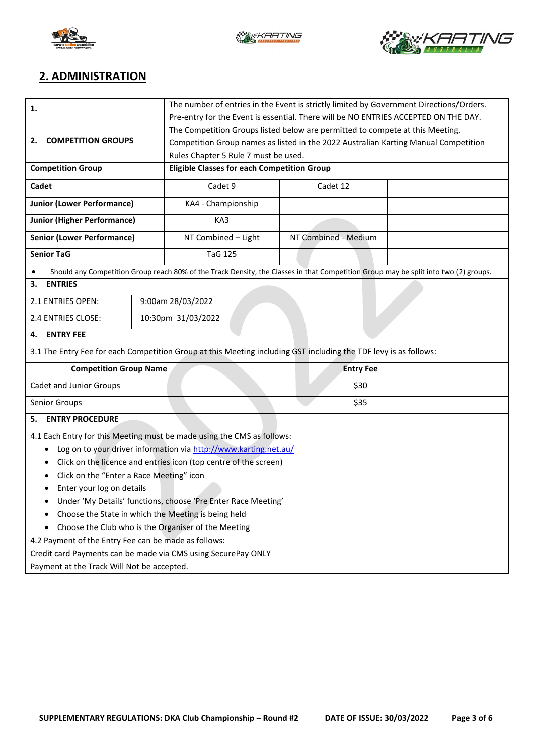





## **2. ADMINISTRATION**

| 1.                                                                                                               | The number of entries in the Event is strictly limited by Government Directions/Orders.                                              |                                                                                     |                    |                      |  |  |  |  |
|------------------------------------------------------------------------------------------------------------------|--------------------------------------------------------------------------------------------------------------------------------------|-------------------------------------------------------------------------------------|--------------------|----------------------|--|--|--|--|
|                                                                                                                  | Pre-entry for the Event is essential. There will be NO ENTRIES ACCEPTED ON THE DAY.                                                  |                                                                                     |                    |                      |  |  |  |  |
|                                                                                                                  | The Competition Groups listed below are permitted to compete at this Meeting.                                                        |                                                                                     |                    |                      |  |  |  |  |
| <b>COMPETITION GROUPS</b><br>2.                                                                                  |                                                                                                                                      | Competition Group names as listed in the 2022 Australian Karting Manual Competition |                    |                      |  |  |  |  |
|                                                                                                                  |                                                                                                                                      | Rules Chapter 5 Rule 7 must be used.                                                |                    |                      |  |  |  |  |
| <b>Competition Group</b>                                                                                         |                                                                                                                                      | <b>Eligible Classes for each Competition Group</b>                                  |                    |                      |  |  |  |  |
| Cadet                                                                                                            |                                                                                                                                      | Cadet 9                                                                             |                    | Cadet 12             |  |  |  |  |
| <b>Junior (Lower Performance)</b>                                                                                |                                                                                                                                      |                                                                                     | KA4 - Championship |                      |  |  |  |  |
| <b>Junior (Higher Performance)</b>                                                                               |                                                                                                                                      | KA3                                                                                 |                    |                      |  |  |  |  |
| <b>Senior (Lower Performance)</b>                                                                                |                                                                                                                                      | NT Combined - Light                                                                 |                    | NT Combined - Medium |  |  |  |  |
| <b>Senior TaG</b>                                                                                                |                                                                                                                                      |                                                                                     | <b>TaG 125</b>     |                      |  |  |  |  |
|                                                                                                                  | Should any Competition Group reach 80% of the Track Density, the Classes in that Competition Group may be split into two (2) groups. |                                                                                     |                    |                      |  |  |  |  |
| <b>ENTRIES</b><br>3.                                                                                             |                                                                                                                                      |                                                                                     |                    |                      |  |  |  |  |
| 9:00am 28/03/2022<br>2.1 ENTRIES OPEN:                                                                           |                                                                                                                                      |                                                                                     |                    |                      |  |  |  |  |
| 2.4 ENTRIES CLOSE:                                                                                               |                                                                                                                                      | 10:30pm 31/03/2022                                                                  |                    |                      |  |  |  |  |
| <b>ENTRY FEE</b><br>4.                                                                                           |                                                                                                                                      |                                                                                     |                    |                      |  |  |  |  |
| 3.1 The Entry Fee for each Competition Group at this Meeting including GST including the TDF levy is as follows: |                                                                                                                                      |                                                                                     |                    |                      |  |  |  |  |
| <b>Competition Group Name</b>                                                                                    |                                                                                                                                      | <b>Entry Fee</b>                                                                    |                    |                      |  |  |  |  |
| Cadet and Junior Groups                                                                                          |                                                                                                                                      |                                                                                     | \$30               |                      |  |  |  |  |
| Senior Groups                                                                                                    |                                                                                                                                      |                                                                                     | \$35               |                      |  |  |  |  |
| <b>ENTRY PROCEDURE</b><br>5.                                                                                     |                                                                                                                                      |                                                                                     |                    |                      |  |  |  |  |
| 4.1 Each Entry for this Meeting must be made using the CMS as follows:                                           |                                                                                                                                      |                                                                                     |                    |                      |  |  |  |  |
| Log on to your driver information via http://www.karting.net.au/<br>٠                                            |                                                                                                                                      |                                                                                     |                    |                      |  |  |  |  |
| Click on the licence and entries icon (top centre of the screen)<br>٠                                            |                                                                                                                                      |                                                                                     |                    |                      |  |  |  |  |
| Click on the "Enter a Race Meeting" icon<br>٠                                                                    |                                                                                                                                      |                                                                                     |                    |                      |  |  |  |  |
| Enter your log on details                                                                                        |                                                                                                                                      |                                                                                     |                    |                      |  |  |  |  |
| Under 'My Details' functions, choose 'Pre Enter Race Meeting'                                                    |                                                                                                                                      |                                                                                     |                    |                      |  |  |  |  |
| Choose the State in which the Meeting is being held<br>٠                                                         |                                                                                                                                      |                                                                                     |                    |                      |  |  |  |  |
| Choose the Club who is the Organiser of the Meeting                                                              |                                                                                                                                      |                                                                                     |                    |                      |  |  |  |  |
| 4.2 Payment of the Entry Fee can be made as follows:                                                             |                                                                                                                                      |                                                                                     |                    |                      |  |  |  |  |
| Credit card Payments can be made via CMS using SecurePay ONLY                                                    |                                                                                                                                      |                                                                                     |                    |                      |  |  |  |  |
| Payment at the Track Will Not be accepted.                                                                       |                                                                                                                                      |                                                                                     |                    |                      |  |  |  |  |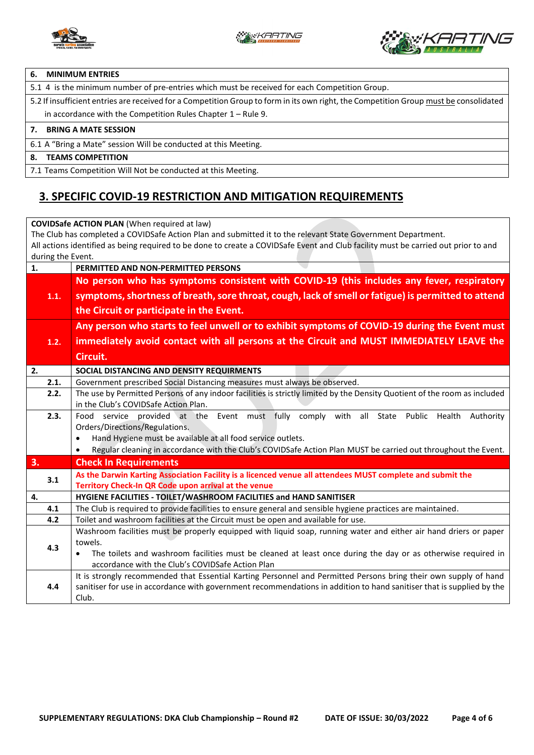



#### **6. MINIMUM ENTRIES**

5.1 4 is the minimum number of pre-entries which must be received for each Competition Group.

5.2 If insufficient entries are received for a Competition Group to form in its own right, the Competition Group must be consolidated in accordance with the Competition Rules Chapter 1 – Rule 9.

#### **7. BRING A MATE SESSION**

6.1 A "Bring a Mate" session Will be conducted at this Meeting.

#### **8. TEAMS COMPETITION**

7.1 Teams Competition Will Not be conducted at this Meeting.

### **3. SPECIFIC COVID-19 RESTRICTION AND MITIGATION REQUIREMENTS**

**COVIDSafe ACTION PLAN** (When required at law) The Club has completed a COVIDSafe Action Plan and submitted it to the relevant State Government Department. All actions identified as being required to be done to create a COVIDSafe Event and Club facility must be carried out prior to and during the Event. **1. PERMITTED AND NON-PERMITTED PERSONS 1.1. No person who has symptoms consistent with COVID-19 (this includes any fever, respiratory symptoms, shortness of breath, sore throat, cough, lack of smell or fatigue) is permitted to attend the Circuit or participate in the Event. 1.2. Any person who starts to feel unwell or to exhibit symptoms of COVID-19 during the Event must immediately avoid contact with all persons at the Circuit and MUST IMMEDIATELY LEAVE the Circuit. 2. SOCIAL DISTANCING AND DENSITY REQUIRMENTS**  2.1. Government prescribed Social Distancing measures must always be observed. **2.2.** The use by Permitted Persons of any indoor facilities is strictly limited by the Density Quotient of the room as included in the Club's COVIDSafe Action Plan. **2.3.** Food service provided at the Event must fully comply with all State Public Health Authority Orders/Directions/Regulations. • Hand Hygiene must be available at all food service outlets. • Regular cleaning in accordance with the Club's COVIDSafe Action Plan MUST be carried out throughout the Event. **3. Check In Requirements 3.1 As the Darwin Karting Association Facility is a licenced venue all attendees MUST complete and submit the Territory Check-In QR Code upon arrival at the venue 4. HYGIENE FACILITIES - TOILET/WASHROOM FACILITIES and HAND SANITISER 4.1** The Club is required to provide facilities to ensure general and sensible hygiene practices are maintained. **4.2** Toilet and washroom facilities at the Circuit must be open and available for use. **4.3** Washroom facilities must be properly equipped with liquid soap, running water and either air hand driers or paper towels. • The toilets and washroom facilities must be cleaned at least once during the day or as otherwise required in accordance with the Club's COVIDSafe Action Plan **4.4** It is strongly recommended that Essential Karting Personnel and Permitted Persons bring their own supply of hand sanitiser for use in accordance with government recommendations in addition to hand sanitiser that is supplied by the Club.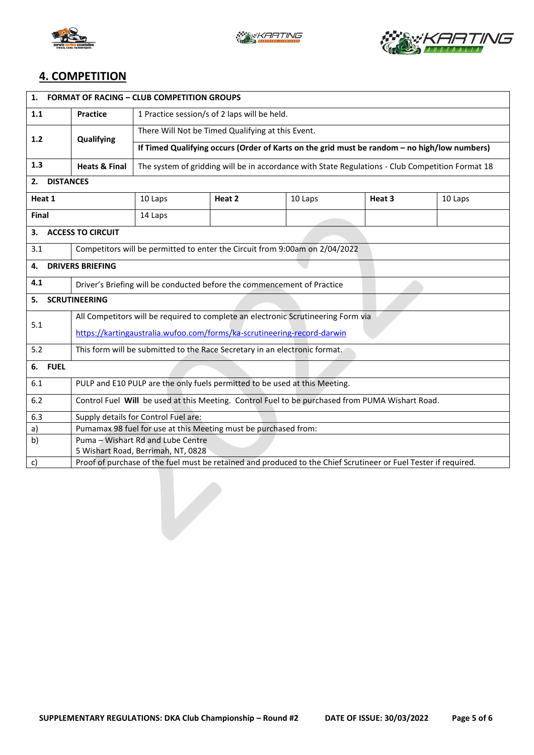





## **4. COMPETITION**

| <b>FORMAT OF RACING - CLUB COMPETITION GROUPS</b><br>1. |                                                                                                                 |                                                                                                  |        |         |        |         |  |  |
|---------------------------------------------------------|-----------------------------------------------------------------------------------------------------------------|--------------------------------------------------------------------------------------------------|--------|---------|--------|---------|--|--|
| 1.1                                                     | <b>Practice</b>                                                                                                 | 1 Practice session/s of 2 laps will be held.                                                     |        |         |        |         |  |  |
| 1.2                                                     | Qualifying                                                                                                      | There Will Not be Timed Qualifying at this Event.                                                |        |         |        |         |  |  |
|                                                         |                                                                                                                 | If Timed Qualifying occurs (Order of Karts on the grid must be random - no high/low numbers)     |        |         |        |         |  |  |
| 1.3                                                     | <b>Heats &amp; Final</b>                                                                                        | The system of gridding will be in accordance with State Regulations - Club Competition Format 18 |        |         |        |         |  |  |
| 2.                                                      | <b>DISTANCES</b>                                                                                                |                                                                                                  |        |         |        |         |  |  |
| Heat 1                                                  |                                                                                                                 | 10 Laps                                                                                          | Heat 2 | 10 Laps | Heat 3 | 10 Laps |  |  |
| Final                                                   |                                                                                                                 | 14 Laps                                                                                          |        |         |        |         |  |  |
| <b>ACCESS TO CIRCUIT</b><br>3.                          |                                                                                                                 |                                                                                                  |        |         |        |         |  |  |
| 3.1                                                     | Competitors will be permitted to enter the Circuit from 9:00am on 2/04/2022                                     |                                                                                                  |        |         |        |         |  |  |
| 4.                                                      | <b>DRIVERS BRIEFING</b>                                                                                         |                                                                                                  |        |         |        |         |  |  |
| 4.1                                                     | Driver's Briefing will be conducted before the commencement of Practice                                         |                                                                                                  |        |         |        |         |  |  |
| <b>SCRUTINEERING</b><br>5.                              |                                                                                                                 |                                                                                                  |        |         |        |         |  |  |
| 5.1                                                     | All Competitors will be required to complete an electronic Scrutineering Form via                               |                                                                                                  |        |         |        |         |  |  |
|                                                         | https://kartingaustralia.wufoo.com/forms/ka-scrutineering-record-darwin                                         |                                                                                                  |        |         |        |         |  |  |
| 5.2                                                     | This form will be submitted to the Race Secretary in an electronic format.                                      |                                                                                                  |        |         |        |         |  |  |
| 6. FUEL                                                 |                                                                                                                 |                                                                                                  |        |         |        |         |  |  |
| 6.1                                                     | PULP and E10 PULP are the only fuels permitted to be used at this Meeting.                                      |                                                                                                  |        |         |        |         |  |  |
| 6.2                                                     | Control Fuel Will be used at this Meeting. Control Fuel to be purchased from PUMA Wishart Road.                 |                                                                                                  |        |         |        |         |  |  |
| 6.3                                                     | Supply details for Control Fuel are:                                                                            |                                                                                                  |        |         |        |         |  |  |
| a)                                                      |                                                                                                                 | Pumamax 98 fuel for use at this Meeting must be purchased from:                                  |        |         |        |         |  |  |
| b)                                                      |                                                                                                                 | Puma - Wishart Rd and Lube Centre                                                                |        |         |        |         |  |  |
| 5 Wishart Road, Berrimah, NT, 0828                      |                                                                                                                 |                                                                                                  |        |         |        |         |  |  |
| c)                                                      | Proof of purchase of the fuel must be retained and produced to the Chief Scrutineer or Fuel Tester if required. |                                                                                                  |        |         |        |         |  |  |

 $\overline{\phantom{a}}$